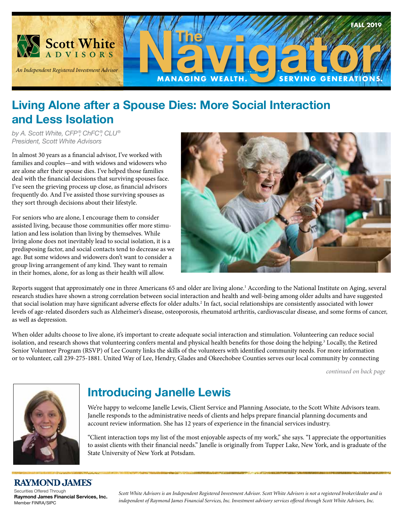

## **Living Alone after a Spouse Dies: More Social Interaction and Less Isolation**

*by A. Scott White, CFP ®, ChFC®, CLU® President, Scott White Advisors*

In almost 30 years as a financial advisor, I've worked with families and couples—and with widows and widowers who are alone after their spouse dies. I've helped those families deal with the financial decisions that surviving spouses face. I've seen the grieving process up close, as financial advisors frequently do. And I've assisted those surviving spouses as they sort through decisions about their lifestyle.

For seniors who are alone, I encourage them to consider assisted living, because those communities offer more stimulation and less isolation than living by themselves. While living alone does not inevitably lead to social isolation, it is a predisposing factor, and social contacts tend to decrease as we age. But some widows and widowers don't want to consider a group living arrangement of any kind. They want to remain in their homes, alone, for as long as their health will allow.



Reports suggest that approximately one in three Americans 65 and older are living alone.<sup>1</sup> According to the National Institute on Aging, several research studies have shown a strong correlation between social interaction and health and well-being among older adults and have suggested that social isolation may have significant adverse effects for older adults.<sup>2</sup> In fact, social relationships are consistently associated with lower levels of age-related disorders such as Alzheimer's disease, osteoporosis, rheumatoid arthritis, cardiovascular disease, and some forms of cancer, as well as depression.

When older adults choose to live alone, it's important to create adequate social interaction and stimulation. Volunteering can reduce social isolation, and research shows that volunteering confers mental and physical health benefits for those doing the helping.<sup>3</sup> Locally, the Retired Senior Volunteer Program (RSVP) of Lee County links the skills of the volunteers with identified community needs. For more information or to volunteer, call 239-275-1881. United Way of Lee, Hendry, Glades and Okeechobee Counties serves our local community by connecting

*continued on back page*



## **Introducing Janelle Lewis**

We're happy to welcome Janelle Lewis, Client Service and Planning Associate, to the Scott White Advisors team. Janelle responds to the administrative needs of clients and helps prepare financial planning documents and account review information. She has 12 years of experience in the financial services industry.

"Client interaction tops my list of the most enjoyable aspects of my work," she says. "I appreciate the opportunities to assist clients with their financial needs." Janelle is originally from Tupper Lake, New York, and is graduate of the State University of New York at Potsdam.

### RAYMOND JAMES

Securities Offered Through **Raymond James Financial Services, Inc.**  Member FINRA/SIPC

*Scott White Advisors is an Independent Registered Investment Advisor. Scott White Advisors is not a registered broker/dealer and is independent of Raymond James Financial Services, Inc. Investment advisory services offered through Scott White Advisors, Inc.*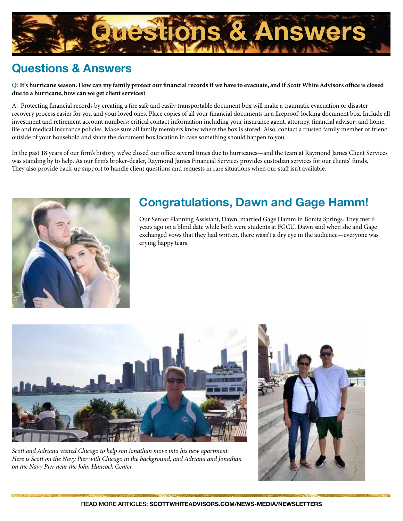

## **Questions & Answers**

**Q: It's hurricane season. How can my family protect our financial records if we have to evacuate, and if Scott White Advisors office is closed due to a hurricane, how can we get client services?** 

A: Protecting financial records by creating a fire safe and easily transportable document box will make a traumatic evacuation or disaster recovery process easier for you and your loved ones. Place copies of all your financial documents in a fireproof, locking document box. Include all investment and retirement account numbers; critical contact information including your insurance agent, attorney, financial advisor; and home, life and medical insurance policies. Make sure all family members know where the box is stored. Also, contact a trusted family member or friend outside of your household and share the document box location in case something should happen to you.

In the past 18 years of our firm's history, we've closed our office several times due to hurricanes—and the team at Raymond James Client Services was standing by to help. As our firm's broker-dealer, Raymond James Financial Services provides custodian services for our clients' funds. They also provide back-up support to handle client questions and requests in rare situations when our staff isn't available.



## **Congratulations, Dawn and Gage Hamm!**

Our Senior Planning Assistant, Dawn, married Gage Hamm in Bonita Springs. They met 6 years ago on a blind date while both were students at FGCU. Dawn said when she and Gage exchanged vows that they had written, there wasn't a dry eye in the audience—everyone was crying happy tears.



*Scott and Adriana visited Chicago to help son Jonathan move into his new apartment. Here is Scott on the Navy Pier with Chicago in the background, and Adriana and Jonathan on the Navy Pier near the John Hancock Center.* 

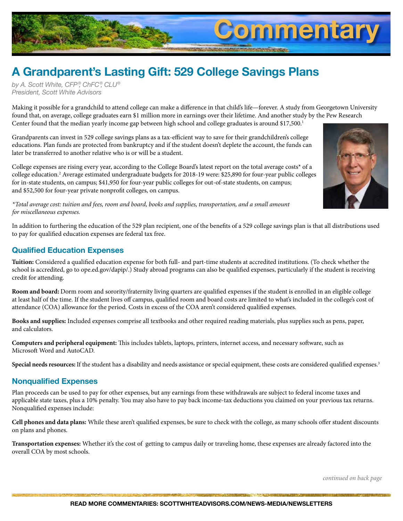

# **A Grandparent's Lasting Gift: 529 College Savings Plans**

*by A. Scott White, CFP ®, ChFC®, CLU® President, Scott White Advisors*

Making it possible for a grandchild to attend college can make a difference in that child's life—forever. A study from Georgetown University found that, on average, college graduates earn \$1 million more in earnings over their lifetime. And another study by the Pew Research Center found that the median yearly income gap between high school and college graduates is around \$17,500.<sup>1</sup>

Grandparents can invest in 529 college savings plans as a tax-efficient way to save for their grandchildren's college educations. Plan funds are protected from bankruptcy and if the student doesn't deplete the account, the funds can later be transferred to another relative who is or will be a student.

College expenses are rising every year, according to the College Board's latest report on the total average costs\* of a college education.2 Average estimated undergraduate budgets for 2018-19 were: \$25,890 for four-year public colleges for in-state students, on campus; \$41,950 for four-year public colleges for out-of-state students, on campus; and \$52,500 for four-year private nonprofit colleges, on campus.

*\*Total average cost: tuition and fees, room and board, books and supplies, transportation, and a small amount for miscellaneous expenses.*

In addition to furthering the education of the 529 plan recipient, one of the benefits of a 529 college savings plan is that all distributions used to pay for qualified education expenses are federal tax free.

#### **Qualified Education Expenses**

**Tuition:** Considered a qualified education expense for both full- and part-time students at accredited institutions. (To check whether the school is accredited, go to ope.ed.gov/dapip/.) Study abroad programs can also be qualified expenses, particularly if the student is receiving credit for attending.

**Room and board:** Dorm room and sorority/fraternity living quarters are qualified expenses if the student is enrolled in an eligible college at least half of the time. If the student lives off campus, qualified room and board costs are limited to what's included in the college's cost of attendance (COA) allowance for the period. Costs in excess of the COA aren't considered qualified expenses.

**Books and supplies:** Included expenses comprise all textbooks and other required reading materials, plus supplies such as pens, paper, and calculators.

**Computers and peripheral equipment:** This includes tablets, laptops, printers, internet access, and necessary software, such as Microsoft Word and AutoCAD.

Special needs resources: If the student has a disability and needs assistance or special equipment, these costs are considered qualified expenses.<sup>3</sup>

#### **Nonqualified Expenses**

Plan proceeds can be used to pay for other expenses, but any earnings from these withdrawals are subject to federal income taxes and applicable state taxes, plus a 10% penalty. You may also have to pay back income-tax deductions you claimed on your previous tax returns. Nonqualified expenses include:

**Cell phones and data plans:** While these aren't qualified expenses, be sure to check with the college, as many schools offer student discounts on plans and phones.

**Transportation expenses:** Whether it's the cost of getting to campus daily or traveling home, these expenses are already factored into the overall COA by most schools.

*continued on back page*